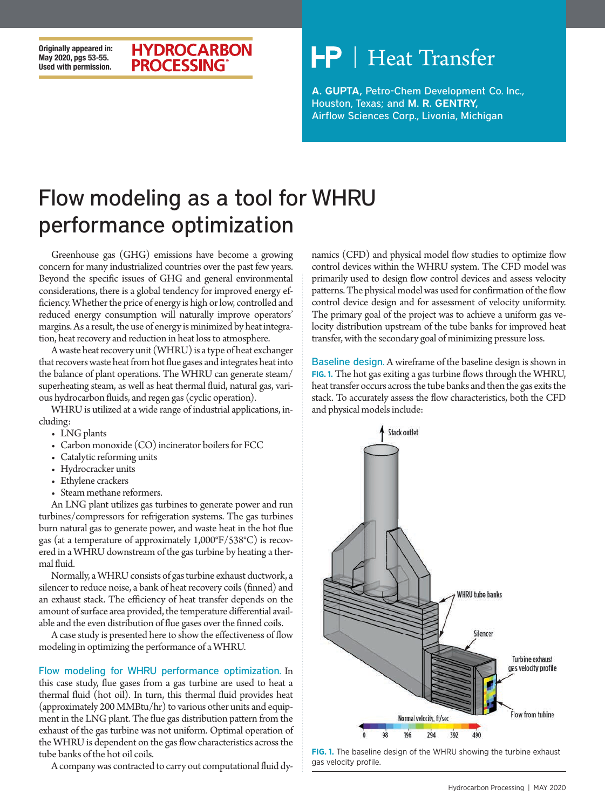### **Originally appeared in: May 2020, pgs 53-55. Used with permission.**

### **HYDROCARBON PROCESSING**

# **Heat Transfer**

A. GUPTA, Petro-Chem Development Co. Inc., Houston, Texas; and M. R. GENTRY, Airflow Sciences Corp., Livonia, Michigan

## Flow modeling as a tool for WHRU performance optimization

Greenhouse gas (GHG) emissions have become a growing concern for many industrialized countries over the past few years. Beyond the specific issues of GHG and general environmental considerations, there is a global tendency for improved energy efficiency. Whether the price of energy is high or low, controlled and reduced energy consumption will naturally improve operators' margins. As a result, the use of energy is minimized by heat integration, heat recovery and reduction in heat loss to atmosphere.

A waste heat recovery unit (WHRU) is a type of heat exchanger that recovers waste heat from hot flue gases and integrates heat into the balance of plant operations. The WHRU can generate steam/ superheating steam, as well as heat thermal fluid, natural gas, various hydrocarbon fluids, and regen gas (cyclic operation).

WHRU is utilized at a wide range of industrial applications, including:

- LNG plants
- Carbon monoxide (CO) incinerator boilers for FCC
- Catalytic reforming units
- Hydrocracker units
- Ethylene crackers
- Steam methane reformers.

An LNG plant utilizes gas turbines to generate power and run turbines/compressors for refrigeration systems. The gas turbines burn natural gas to generate power, and waste heat in the hot flue gas (at a temperature of approximately 1,000°F/538°C) is recovered in a WHRU downstream of the gas turbine by heating a thermal fluid.

Normally, a WHRU consists of gas turbine exhaust ductwork, a silencer to reduce noise, a bank of heat recovery coils (finned) and an exhaust stack. The efficiency of heat transfer depends on the amount of surface area provided, the temperature differential available and the even distribution of flue gases over the finned coils.

A case study is presented here to show the effectiveness of flow modeling in optimizing the performance of a WHRU.

Flow modeling for WHRU performance optimization. In this case study, flue gases from a gas turbine are used to heat a thermal fluid (hot oil). In turn, this thermal fluid provides heat (approximately 200 MMBtu/hr) to various other units and equipment in the LNG plant. The flue gas distribution pattern from the exhaust of the gas turbine was not uniform. Optimal operation of the WHRU is dependent on the gas flow characteristics across the tube banks of the hot oil coils.

A company was contracted to carry out computational fluid dy-

namics (CFD) and physical model flow studies to optimize flow control devices within the WHRU system. The CFD model was primarily used to design flow control devices and assess velocity patterns. The physical model was used for confirmation of the flow control device design and for assessment of velocity uniformity. The primary goal of the project was to achieve a uniform gas velocity distribution upstream of the tube banks for improved heat transfer, with the secondary goal of minimizing pressure loss.

Baseline design. A wireframe of the baseline design is shown in **FIG. 1.** The hot gas exiting a gas turbine flows through the WHRU, heat transfer occurs across the tube banks and then the gas exits the stack. To accurately assess the flow characteristics, both the CFD and physical models include:



**FIG. 1.** The baseline design of the WHRU showing the turbine exhaust gas velocity profile.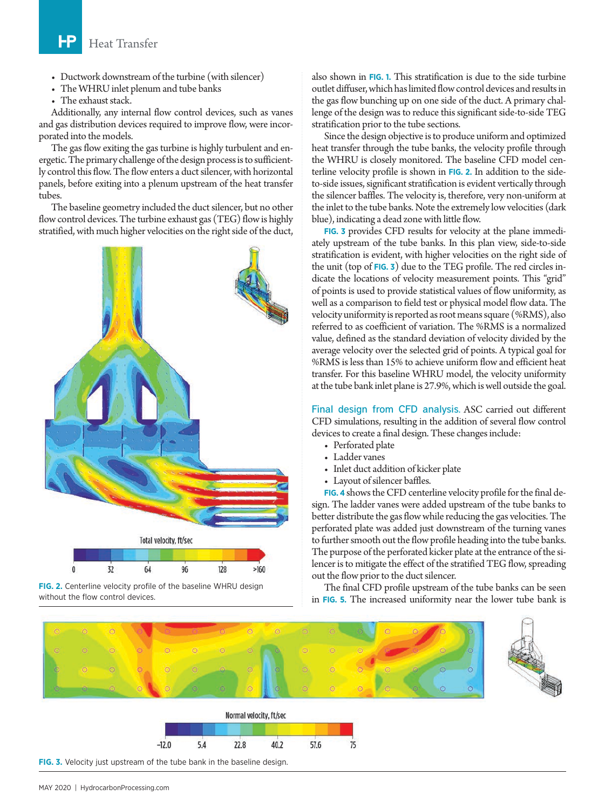#### ͰP Heat Transfer

- Ductwork downstream of the turbine (with silencer)
- The WHRU inlet plenum and tube banks
- The exhaust stack.

Additionally, any internal flow control devices, such as vanes and gas distribution devices required to improve flow, were incorporated into the models.

The gas flow exiting the gas turbine is highly turbulent and energetic. The primary challenge of the design process is to sufficiently control this flow. The flow enters a duct silencer, with horizontal panels, before exiting into a plenum upstream of the heat transfer tubes.

The baseline geometry included the duct silencer, but no other flow control devices. The turbine exhaust gas (TEG) flow is highly stratified, with much higher velocities on the right side of the duct,





also shown in **FIG. 1.** This stratification is due to the side turbine outlet diffuser, which has limited flow control devices and results in the gas flow bunching up on one side of the duct. A primary challenge of the design was to reduce this significant side-to-side TEG stratification prior to the tube sections.

Since the design objective is to produce uniform and optimized heat transfer through the tube banks, the velocity profile through the WHRU is closely monitored. The baseline CFD model centerline velocity profile is shown in **FIG. 2.** In addition to the sideto-side issues, significant stratification is evident vertically through the silencer baffles. The velocity is, therefore, very non-uniform at the inlet to the tube banks. Note the extremely low velocities (dark blue), indicating a dead zone with little flow.

**FIG. 3** provides CFD results for velocity at the plane immediately upstream of the tube banks. In this plan view, side-to-side stratification is evident, with higher velocities on the right side of the unit (top of **FIG. 3**) due to the TEG profile. The red circles indicate the locations of velocity measurement points. This "grid" of points is used to provide statistical values of flow uniformity, as well as a comparison to field test or physical model flow data. The velocity uniformity is reported as root means square (%RMS), also referred to as coefficient of variation. The %RMS is a normalized value, defined as the standard deviation of velocity divided by the average velocity over the selected grid of points. A typical goal for %RMS is less than 15% to achieve uniform flow and efficient heat transfer. For this baseline WHRU model, the velocity uniformity at the tube bank inlet plane is 27.9%, which is well outside the goal.

Final design from CFD analysis. ASC carried out different CFD simulations, resulting in the addition of several flow control devices to create a final design. These changes include:

- Perforated plate
- Ladder vanes
- Inlet duct addition of kicker plate
- Layout of silencer baffles.

**FIG. 4** shows the CFD centerline velocity profile for the final design. The ladder vanes were added upstream of the tube banks to better distribute the gas flow while reducing the gas velocities. The perforated plate was added just downstream of the turning vanes to further smooth out the flow profile heading into the tube banks. The purpose of the perforated kicker plate at the entrance of the silencer is to mitigate the effect of the stratified TEG flow, spreading out the flow prior to the duct silencer.

The final CFD profile upstream of the tube banks can be seen in **FIG. 5.** The increased uniformity near the lower tube bank is